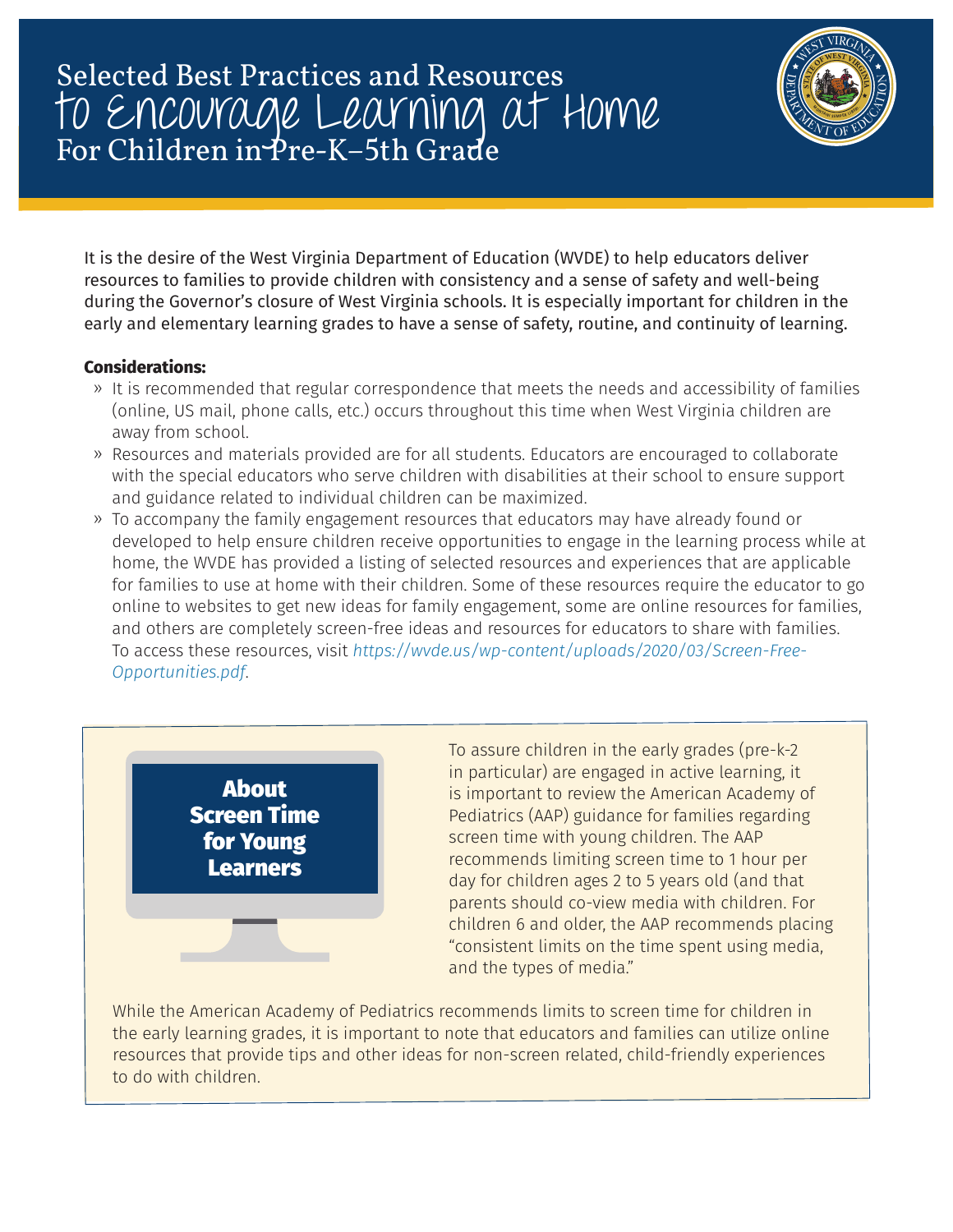## Selected Best Practices and Resources to Encourage Learning at Home For Children in Pre-K–5th Grade



It is the desire of the West Virginia Department of Education (WVDE) to help educators deliver resources to families to provide children with consistency and a sense of safety and well-being during the Governor's closure of West Virginia schools. It is especially important for children in the early and elementary learning grades to have a sense of safety, routine, and continuity of learning.

## **Considerations:**

- ࢡ It is recommended that regular correspondence that meets the needs and accessibility of families (online, US mail, phone calls, etc.) occurs throughout this time when West Virginia children are away from school.
- ࢡ Resources and materials provided are for all students. Educators are encouraged to collaborate with the special educators who serve children with disabilities at their school to ensure support and guidance related to individual children can be maximized.
- ࢡ To accompany the family engagement resources that educators may have already found or developed to help ensure children receive opportunities to engage in the learning process while at home, the WVDE has provided a listing of selected resources and experiences that are applicable for families to use at home with their children. Some of these resources require the educator to go online to websites to get new ideas for family engagement, some are online resources for families, and others are completely screen-free ideas and resources for educators to share with families. To access these resources, visit *https://wvde.us/wp-content/uploads/2020/03/Screen-Free-Opportunities.pdf*.



To assure children in the early grades (pre-k-2 in particular) are engaged in active learning, it is important to review the American Academy of Pediatrics (AAP) guidance for families regarding screen time with young children. The AAP recommends limiting screen time to 1 hour per day for children ages 2 to 5 years old (and that parents should co-view media with children. For children 6 and older, the AAP recommends placing "consistent limits on the time spent using media, and the types of media."

While the American Academy of Pediatrics recommends limits to screen time for children in the early learning grades, it is important to note that educators and families can utilize online resources that provide tips and other ideas for non-screen related, child-friendly experiences to do with children.